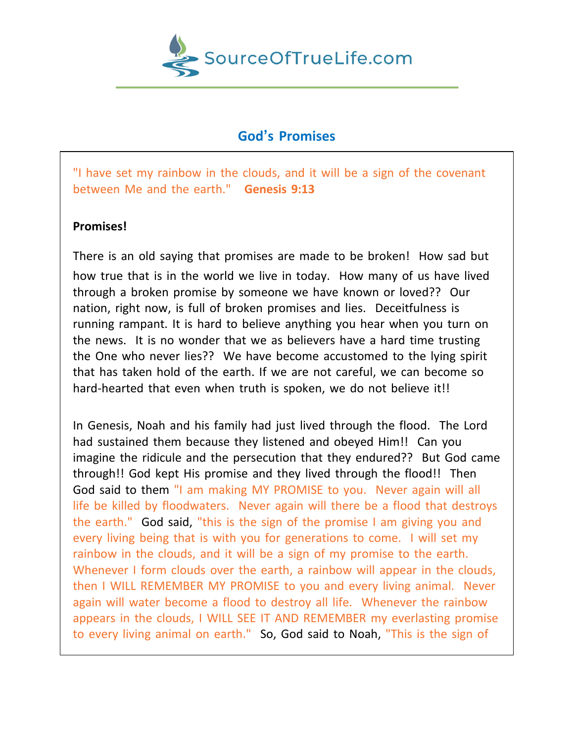

## **God's Promises**

"I have set my rainbow in the clouds, and it will be a sign of the covenant between Me and the earth." **Genesis 9:13**

## **Promises!**

There is an old saying that promises are made to be broken! How sad but how true that is in the world we live in today. How many of us have lived through a broken promise by someone we have known or loved?? Our nation, right now, is full of broken promises and lies. Deceitfulness is running rampant. It is hard to believe anything you hear when you turn on the news. It is no wonder that we as believers have a hard time trusting the One who never lies?? We have become accustomed to the lying spirit that has taken hold of the earth. If we are not careful, we can become so hard-hearted that even when truth is spoken, we do not believe it!!

In Genesis, Noah and his family had just lived through the flood. The Lord had sustained them because they listened and obeyed Him!! Can you imagine the ridicule and the persecution that they endured?? But God came through!! God kept His promise and they lived through the flood!! Then God said to them "I am making MY PROMISE to you. Never again will all life be killed by floodwaters. Never again will there be a flood that destroys the earth." God said, "this is the sign of the promise I am giving you and every living being that is with you for generations to come. I will set my rainbow in the clouds, and it will be a sign of my promise to the earth. Whenever I form clouds over the earth, a rainbow will appear in the clouds, then I WILL REMEMBER MY PROMISE to you and every living animal. Never again will water become a flood to destroy all life. Whenever the rainbow appears in the clouds, I WILL SEE IT AND REMEMBER my everlasting promise to every living animal on earth." So, God said to Noah, "This is the sign of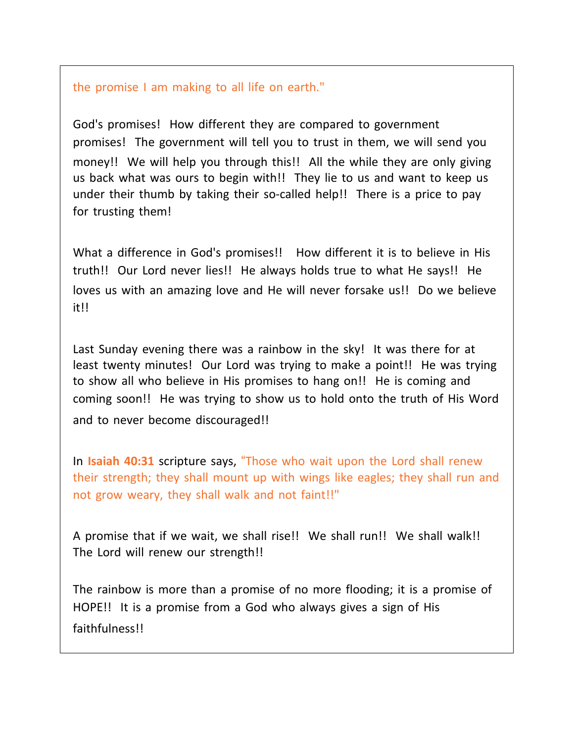## the promise I am making to all life on earth."

God's promises! How different they are compared to government promises! The government will tell you to trust in them, we will send you money!! We will help you through this!! All the while they are only giving us back what was ours to begin with!! They lie to us and want to keep us under their thumb by taking their so-called help!! There is a price to pay for trusting them!

What a difference in God's promises!! How different it is to believe in His truth!! Our Lord never lies!! He always holds true to what He says!! He loves us with an amazing love and He will never forsake us!! Do we believe it!!

Last Sunday evening there was a rainbow in the sky! It was there for at least twenty minutes! Our Lord was trying to make a point!! He was trying to show all who believe in His promises to hang on!! He is coming and coming soon!! He was trying to show us to hold onto the truth of His Word and to never become discouraged!!

In **Isaiah 40:31** scripture says, "Those who wait upon the Lord shall renew their strength; they shall mount up with wings like eagles; they shall run and not grow weary, they shall walk and not faint!!"

A promise that if we wait, we shall rise!! We shall run!! We shall walk!! The Lord will renew our strength!!

The rainbow is more than a promise of no more flooding; it is a promise of HOPE!! It is a promise from a God who always gives a sign of His faithfulness!!